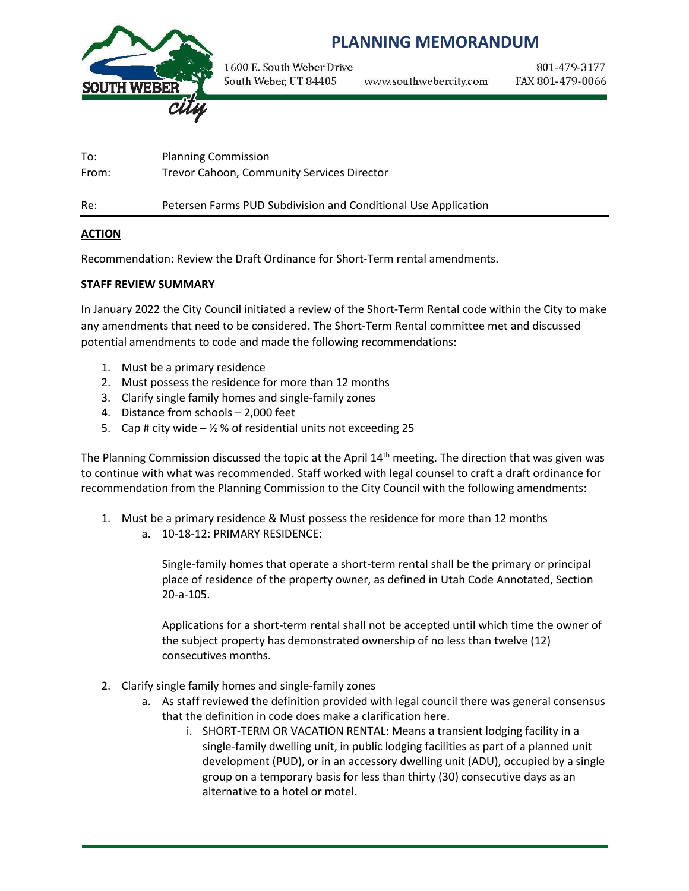

# **PLANNING MEMORANDUM**

1600 E. South Weber Drive South Weber, UT 84405 www.southwebercity.com

801-479-3177 FAX 801-479-0066

To: Planning Commission From: Trevor Cahoon, Community Services Director Re: Petersen Farms PUD Subdivision and Conditional Use Application

#### **ACTION**

Recommendation: Review the Draft Ordinance for Short-Term rental amendments.

#### **STAFF REVIEW SUMMARY**

In January 2022 the City Council initiated a review of the Short-Term Rental code within the City to make any amendments that need to be considered. The Short-Term Rental committee met and discussed potential amendments to code and made the following recommendations:

- 1. Must be a primary residence
- 2. Must possess the residence for more than 12 months
- 3. Clarify single family homes and single-family zones
- 4. Distance from schools 2,000 feet
- 5. Cap # city wide  $-$  %  $\%$  of residential units not exceeding 25

The Planning Commission discussed the topic at the April 14<sup>th</sup> meeting. The direction that was given was to continue with what was recommended. Staff worked with legal counsel to craft a draft ordinance for recommendation from the Planning Commission to the City Council with the following amendments:

- 1. Must be a primary residence & Must possess the residence for more than 12 months
	- a. 10-18-12: PRIMARY RESIDENCE:

Single-family homes that operate a short-term rental shall be the primary or principal place of residence of the property owner, as defined in Utah Code Annotated, Section 20-a-105.

Applications for a short-term rental shall not be accepted until which time the owner of the subject property has demonstrated ownership of no less than twelve (12) consecutives months.

- 2. Clarify single family homes and single-family zones
	- a. As staff reviewed the definition provided with legal council there was general consensus that the definition in code does make a clarification here.
		- i. SHORT-TERM OR VACATION RENTAL: Means a transient lodging facility in a single-family dwelling unit, in public lodging facilities as part of a planned unit development (PUD), or in an accessory dwelling unit (ADU), occupied by a single group on a temporary basis for less than thirty (30) consecutive days as an alternative to a hotel or motel.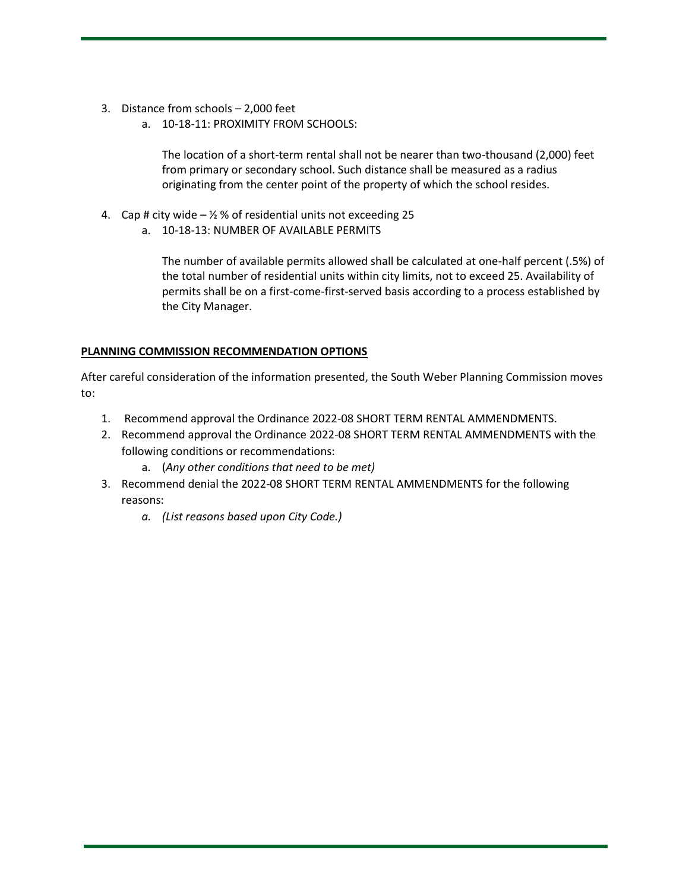- 3. Distance from schools 2,000 feet
	- a. 10-18-11: PROXIMITY FROM SCHOOLS:

The location of a short-term rental shall not be nearer than two-thousand (2,000) feet from primary or secondary school. Such distance shall be measured as a radius originating from the center point of the property of which the school resides.

- 4. Cap # city wide  $-$  1/2 % of residential units not exceeding 25
	- a. 10-18-13: NUMBER OF AVAILABLE PERMITS

The number of available permits allowed shall be calculated at one-half percent (.5%) of the total number of residential units within city limits, not to exceed 25. Availability of permits shall be on a first-come-first-served basis according to a process established by the City Manager.

# **PLANNING COMMISSION RECOMMENDATION OPTIONS**

After careful consideration of the information presented, the South Weber Planning Commission moves to:

- 1. Recommend approval the Ordinance 2022-08 SHORT TERM RENTAL AMMENDMENTS.
- 2. Recommend approval the Ordinance 2022-08 SHORT TERM RENTAL AMMENDMENTS with the following conditions or recommendations:
	- a. (*Any other conditions that need to be met)*
- 3. Recommend denial the 2022-08 SHORT TERM RENTAL AMMENDMENTS for the following reasons:
	- *a. (List reasons based upon City Code.)*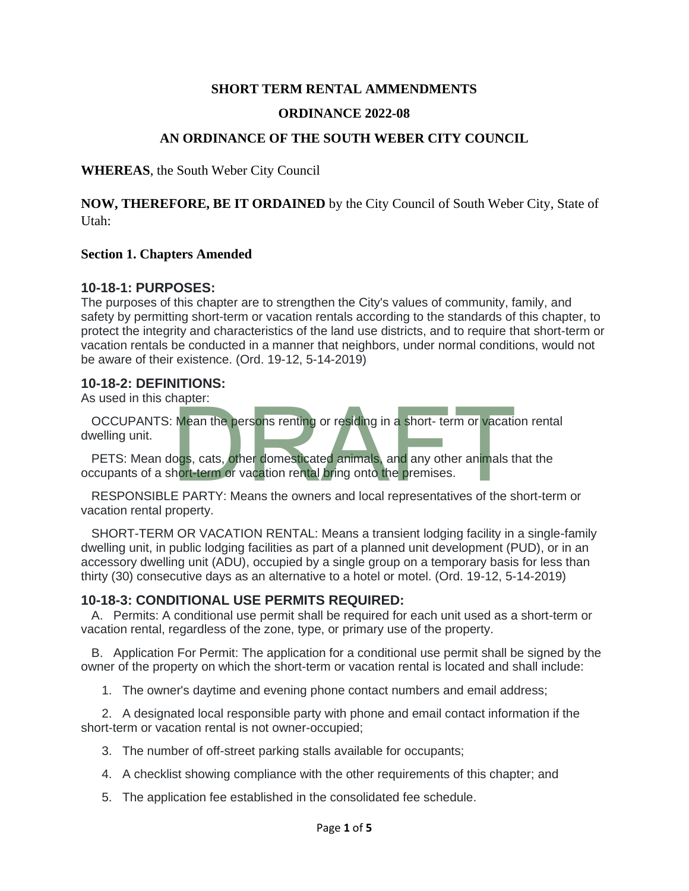# **SHORT TERM RENTAL AMMENDMENTS**

#### **ORDINANCE 2022-08**

#### **AN ORDINANCE OF THE SOUTH WEBER CITY COUNCIL**

**WHEREAS**, the South Weber City Council

**NOW, THEREFORE, BE IT ORDAINED** by the City Council of South Weber City, State of Utah:

#### **Section 1. Chapters Amended**

#### **10-18-1: PURPOSES:**

The purposes of this chapter are to strengthen the City's values of community, family, and safety by permitting short-term or vacation rentals according to the standards of this chapter, to protect the integrity and characteristics of the land use districts, and to require that short-term or vacation rentals be conducted in a manner that neighbors, under normal conditions, would not be aware of their existence. (Ord. 19-12, 5-14-2019)

#### **10-18-2: DEFINITIONS:**

As used in this chapter:

OCCUPANTS: Mean the persons renting or residing in a short- term or vacation rental dwelling unit. Mean the persons renting or residing in a short- term or vacation<br>ogs, cats, other domesticated animals, and any other animals thort-term or vacation rental bring onto the premises.<br>E PARTY: Means the owners and local repr

PETS: Mean dogs, cats, other domesticated animals, and any other animals that the occupants of a short-term or vacation rental bring onto the premises.

RESPONSIBLE PARTY: Means the owners and local representatives of the short-term or vacation rental property.

SHORT-TERM OR VACATION RENTAL: Means a transient lodging facility in a single-family dwelling unit, in public lodging facilities as part of a planned unit development (PUD), or in an accessory dwelling unit (ADU), occupied by a single group on a temporary basis for less than thirty (30) consecutive days as an alternative to a hotel or motel. (Ord. 19-12, 5-14-2019)

#### **10-18-3: CONDITIONAL USE PERMITS REQUIRED:**

A. Permits: A conditional use permit shall be required for each unit used as a short-term or vacation rental, regardless of the zone, type, or primary use of the property.

B. Application For Permit: The application for a conditional use permit shall be signed by the owner of the property on which the short-term or vacation rental is located and shall include:

1. The owner's daytime and evening phone contact numbers and email address;

2. A designated local responsible party with phone and email contact information if the short-term or vacation rental is not owner-occupied;

- 3. The number of off-street parking stalls available for occupants;
- 4. A checklist showing compliance with the other requirements of this chapter; and
- 5. The application fee established in the consolidated fee schedule.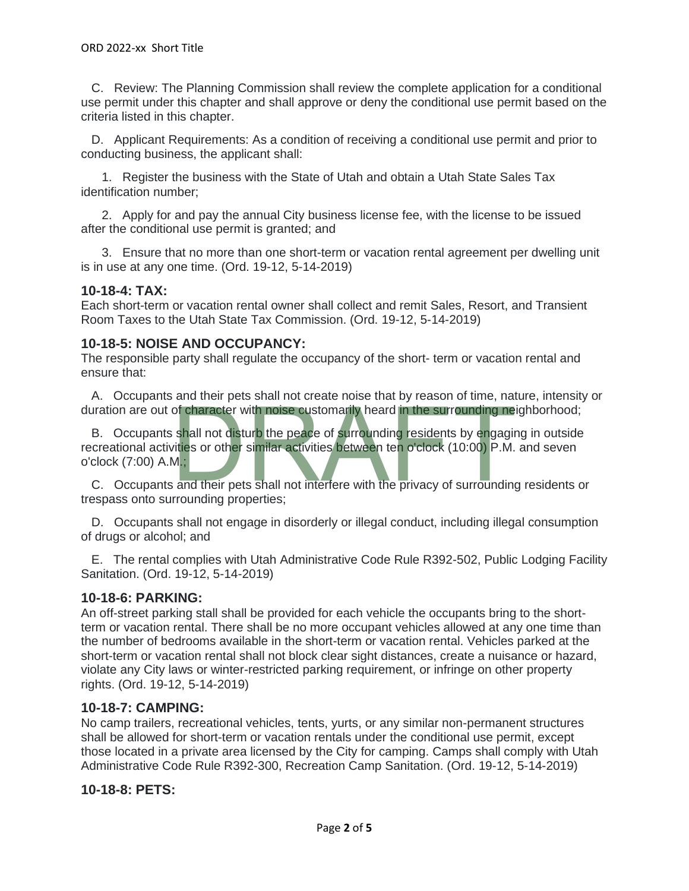C. Review: The Planning Commission shall review the complete application for a conditional use permit under this chapter and shall approve or deny the conditional use permit based on the criteria listed in this chapter.

 D. Applicant Requirements: As a condition of receiving a conditional use permit and prior to conducting business, the applicant shall:

 1. Register the business with the State of Utah and obtain a Utah State Sales Tax identification number;

 2. Apply for and pay the annual City business license fee, with the license to be issued after the conditional use permit is granted; and

 3. Ensure that no more than one short-term or vacation rental agreement per dwelling unit is in use at any one time. (Ord. 19-12, 5-14-2019)

# **10-18-4: TAX:**

Each short-term or vacation rental owner shall collect and remit Sales, Resort, and Transient Room Taxes to the Utah State Tax Commission. (Ord. 19-12, 5-14-2019)

# **10-18-5: NOISE AND OCCUPANCY:**

The responsible party shall regulate the occupancy of the short- term or vacation rental and ensure that:

 A. Occupants and their pets shall not create noise that by reason of time, nature, intensity or duration are out of character with noise customarily heard in the surrounding neighborhood;

B. Occupants shall not disturb the peace of surrounding residents by engaging in outside recreational activities or other similar activities between ten o'clock (10:00) P.M. and seven o'clock (7:00) A.M.; of character with noise customarily heard in the surrounding ne<br>shall not disturb the peace of surrounding residents by engagine<br>vities or other similar activities between ten o'clock (10:00) P.M.<br>M.:<br>and their pets shall

 C. Occupants and their pets shall not interfere with the privacy of surrounding residents or trespass onto surrounding properties;

 D. Occupants shall not engage in disorderly or illegal conduct, including illegal consumption of drugs or alcohol; and

 E. The rental complies with Utah Administrative Code Rule R392-502, Public Lodging Facility Sanitation. (Ord. 19-12, 5-14-2019)

# **10-18-6: PARKING:**

An off-street parking stall shall be provided for each vehicle the occupants bring to the shortterm or vacation rental. There shall be no more occupant vehicles allowed at any one time than the number of bedrooms available in the short-term or vacation rental. Vehicles parked at the short-term or vacation rental shall not block clear sight distances, create a nuisance or hazard, violate any City laws or winter-restricted parking requirement, or infringe on other property rights. (Ord. 19-12, 5-14-2019)

# **10-18-7: CAMPING:**

No camp trailers, recreational vehicles, tents, yurts, or any similar non-permanent structures shall be allowed for short-term or vacation rentals under the conditional use permit, except those located in a private area licensed by the City for camping. Camps shall comply with Utah Administrative Code Rule R392-300, Recreation Camp Sanitation. (Ord. 19-12, 5-14-2019)

# **10-18-8: PETS:**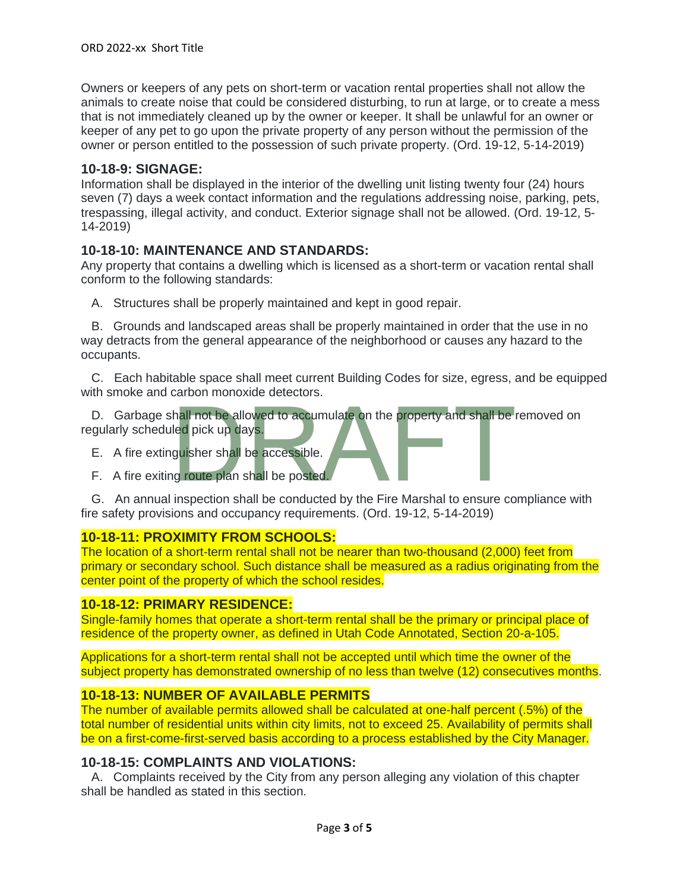Owners or keepers of any pets on short-term or vacation rental properties shall not allow the animals to create noise that could be considered disturbing, to run at large, or to create a mess that is not immediately cleaned up by the owner or keeper. It shall be unlawful for an owner or keeper of any pet to go upon the private property of any person without the permission of the owner or person entitled to the possession of such private property. (Ord. 19-12, 5-14-2019)

# **10-18-9: SIGNAGE:**

Information shall be displayed in the interior of the dwelling unit listing twenty four (24) hours seven (7) days a week contact information and the regulations addressing noise, parking, pets, trespassing, illegal activity, and conduct. Exterior signage shall not be allowed. (Ord. 19-12, 5- 14-2019)

# **10-18-10: MAINTENANCE AND STANDARDS:**

Any property that contains a dwelling which is licensed as a short-term or vacation rental shall conform to the following standards:

A. Structures shall be properly maintained and kept in good repair.

 B. Grounds and landscaped areas shall be properly maintained in order that the use in no way detracts from the general appearance of the neighborhood or causes any hazard to the occupants.

 C. Each habitable space shall meet current Building Codes for size, egress, and be equipped with smoke and carbon monoxide detectors.

D. Garbage shall not be allowed to accumulate on the property and shall be removed on<br>
regularly scheduled pick up days.<br>
E. A fire extinguisher shall be accessible.<br>
G. An annual inspection shall be conducted by the Fire regularly scheduled pick up days.

- E. A fire extinguisher shall be accessible.
- F. A fire exiting route plan shall be posted.

 G. An annual inspection shall be conducted by the Fire Marshal to ensure compliance with fire safety provisions and occupancy requirements. (Ord. 19-12, 5-14-2019)

# **10-18-11: PROXIMITY FROM SCHOOLS:**

The location of a short-term rental shall not be nearer than two-thousand (2,000) feet from primary or secondary school. Such distance shall be measured as a radius originating from the center point of the property of which the school resides.

#### **10-18-12: PRIMARY RESIDENCE:**

Single-family homes that operate a short-term rental shall be the primary or principal place of residence of the property owner, as defined in Utah Code Annotated, Section 20-a-105.

Applications for a short-term rental shall not be accepted until which time the owner of the subject property has demonstrated ownership of no less than twelve (12) consecutives months.

# **10-18-13: NUMBER OF AVAILABLE PERMITS**

The number of available permits allowed shall be calculated at one-half percent (.5%) of the total number of residential units within city limits, not to exceed 25. Availability of permits shall be on a first-come-first-served basis according to a process established by the City Manager.

#### **10-18-15: COMPLAINTS AND VIOLATIONS:**

 A. Complaints received by the City from any person alleging any violation of this chapter shall be handled as stated in this section.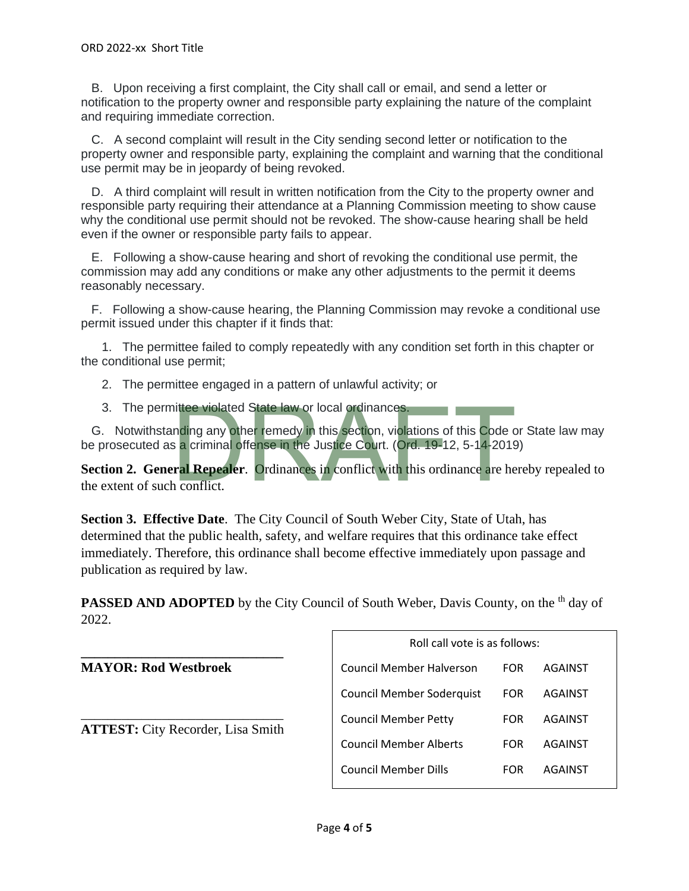B. Upon receiving a first complaint, the City shall call or email, and send a letter or notification to the property owner and responsible party explaining the nature of the complaint and requiring immediate correction.

 C. A second complaint will result in the City sending second letter or notification to the property owner and responsible party, explaining the complaint and warning that the conditional use permit may be in jeopardy of being revoked.

 D. A third complaint will result in written notification from the City to the property owner and responsible party requiring their attendance at a Planning Commission meeting to show cause why the conditional use permit should not be revoked. The show-cause hearing shall be held even if the owner or responsible party fails to appear.

 E. Following a show-cause hearing and short of revoking the conditional use permit, the commission may add any conditions or make any other adjustments to the permit it deems reasonably necessary.

 F. Following a show-cause hearing, the Planning Commission may revoke a conditional use permit issued under this chapter if it finds that:

 1. The permittee failed to comply repeatedly with any condition set forth in this chapter or the conditional use permit;

- 2. The permittee engaged in a pattern of unlawful activity; or
- 3. The permittee violated State law or local ordinances.

 G. Notwithstanding any other remedy in this section, violations of this Code or State law may be prosecuted as a criminal offense in the Justice Court. (Ord. 19-12, 5-14-2019)

**Section 2. General Repealer.** Ordinances in conflict with this ordinance are hereby repealed to the extent of such conflict. nittee violated State law or local ordinances.<br>
Inding any other remedy in this section, violations of this Code c<br>
is a criminal offense in the Justice Court. (Ord. 19-12, 5-14-2019<br>
In Repealer. Ordinances in conflict wi

**Section 3. Effective Date**. The City Council of South Weber City, State of Utah, has determined that the public health, safety, and welfare requires that this ordinance take effect immediately. Therefore, this ordinance shall become effective immediately upon passage and publication as required by law.

**PASSED AND ADOPTED** by the City Council of South Weber, Davis County, on the <sup>th</sup> day of 2022.

**\_\_\_\_\_\_\_\_\_\_\_\_\_\_\_\_\_\_\_\_\_\_\_\_\_\_\_\_\_\_ MAYOR: Rod Westbroek** \_\_\_\_\_\_\_\_\_\_\_\_\_\_\_\_\_\_\_\_\_\_\_\_\_\_\_\_\_\_ **ATTEST:** City Recorder, Lisa Smith Roll call vote is as follows: Council Member Halverson FOR AGAINST Council Member Soderquist FOR AGAINST Council Member Petty FOR AGAINST Council Member Alberts FOR AGAINST Council Member Dills FOR AGAINST